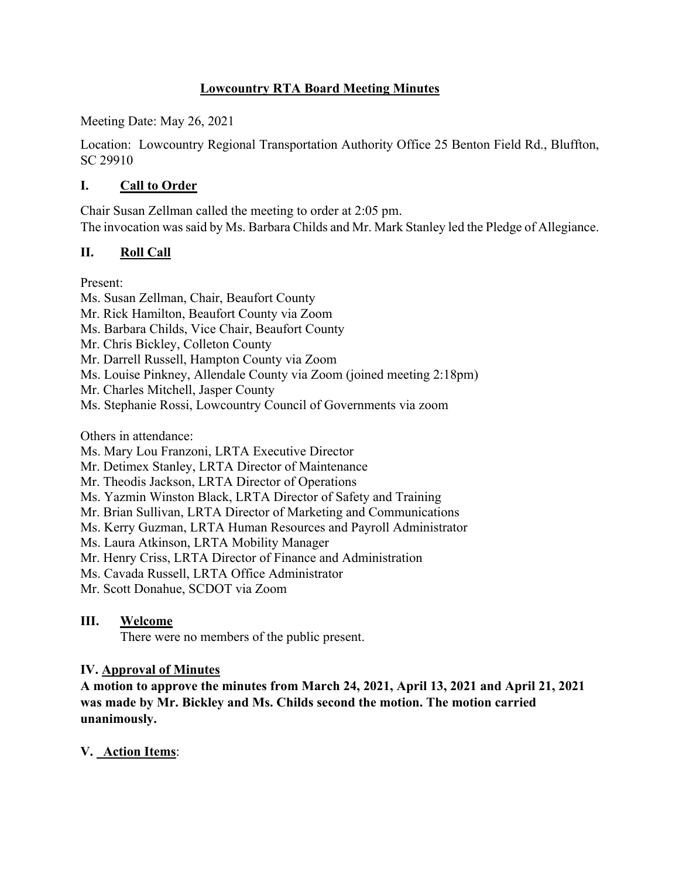## **Lowcountry RTA Board Meeting Minutes**

Meeting Date: May 26, 2021

Location: Lowcountry Regional Transportation Authority Office 25 Benton Field Rd., Bluffton, SC 29910

## **I. Call to Order**

Chair Susan Zellman called the meeting to order at 2:05 pm. The invocation was said by Ms. Barbara Childs and Mr. Mark Stanley led the Pledge of Allegiance.

## **II. Roll Call**

Present:

Ms. Susan Zellman, Chair, Beaufort County Mr. Rick Hamilton, Beaufort County via Zoom Ms. Barbara Childs, Vice Chair, Beaufort County Mr. Chris Bickley, Colleton County Mr. Darrell Russell, Hampton County via Zoom Ms. Louise Pinkney, Allendale County via Zoom (joined meeting 2:18pm) Mr. Charles Mitchell, Jasper County Ms. Stephanie Rossi, Lowcountry Council of Governments via zoom Others in attendance: Ms. Mary Lou Franzoni, LRTA Executive Director Mr. Detimex Stanley, LRTA Director of Maintenance

Mr. Theodis Jackson, LRTA Director of Operations

Ms. Yazmin Winston Black, LRTA Director of Safety and Training

Mr. Brian Sullivan, LRTA Director of Marketing and Communications

Ms. Kerry Guzman, LRTA Human Resources and Payroll Administrator

Ms. Laura Atkinson, LRTA Mobility Manager

Mr. Henry Criss, LRTA Director of Finance and Administration

Ms. Cavada Russell, LRTA Office Administrator

Mr. Scott Donahue, SCDOT via Zoom

# **III. Welcome**

There were no members of the public present.

# **IV. Approval of Minutes**

**A motion to approve the minutes from March 24, 2021, April 13, 2021 and April 21, 2021 was made by Mr. Bickley and Ms. Childs second the motion. The motion carried unanimously.**

# **V. Action Items**: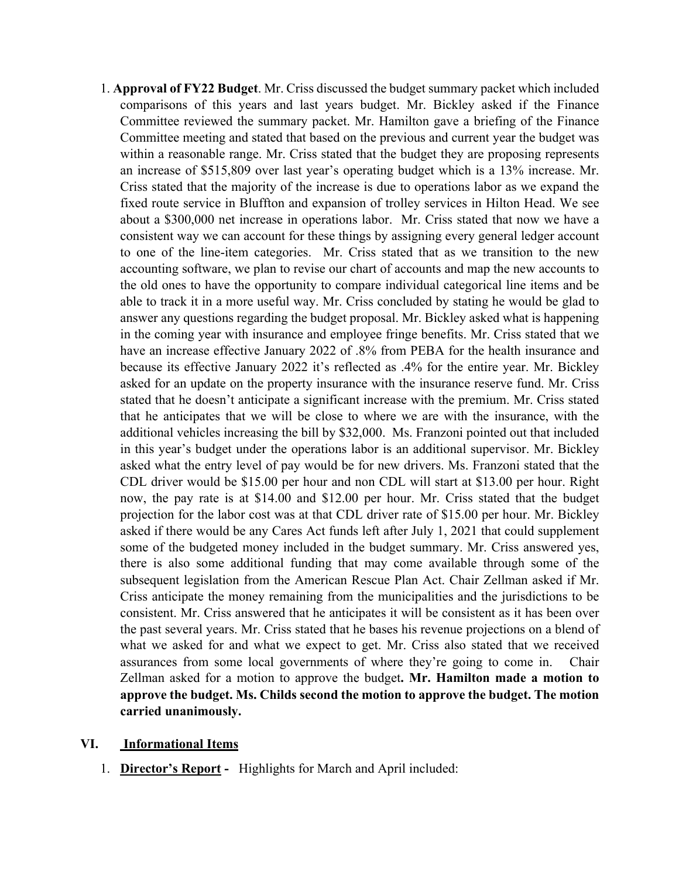1. **Approval of FY22 Budget**. Mr. Criss discussed the budget summary packet which included comparisons of this years and last years budget. Mr. Bickley asked if the Finance Committee reviewed the summary packet. Mr. Hamilton gave a briefing of the Finance Committee meeting and stated that based on the previous and current year the budget was within a reasonable range. Mr. Criss stated that the budget they are proposing represents an increase of \$515,809 over last year's operating budget which is a 13% increase. Mr. Criss stated that the majority of the increase is due to operations labor as we expand the fixed route service in Bluffton and expansion of trolley services in Hilton Head. We see about a \$300,000 net increase in operations labor. Mr. Criss stated that now we have a consistent way we can account for these things by assigning every general ledger account to one of the line-item categories. Mr. Criss stated that as we transition to the new accounting software, we plan to revise our chart of accounts and map the new accounts to the old ones to have the opportunity to compare individual categorical line items and be able to track it in a more useful way. Mr. Criss concluded by stating he would be glad to answer any questions regarding the budget proposal. Mr. Bickley asked what is happening in the coming year with insurance and employee fringe benefits. Mr. Criss stated that we have an increase effective January 2022 of .8% from PEBA for the health insurance and because its effective January 2022 it's reflected as .4% for the entire year. Mr. Bickley asked for an update on the property insurance with the insurance reserve fund. Mr. Criss stated that he doesn't anticipate a significant increase with the premium. Mr. Criss stated that he anticipates that we will be close to where we are with the insurance, with the additional vehicles increasing the bill by \$32,000. Ms. Franzoni pointed out that included in this year's budget under the operations labor is an additional supervisor. Mr. Bickley asked what the entry level of pay would be for new drivers. Ms. Franzoni stated that the CDL driver would be \$15.00 per hour and non CDL will start at \$13.00 per hour. Right now, the pay rate is at \$14.00 and \$12.00 per hour. Mr. Criss stated that the budget projection for the labor cost was at that CDL driver rate of \$15.00 per hour. Mr. Bickley asked if there would be any Cares Act funds left after July 1, 2021 that could supplement some of the budgeted money included in the budget summary. Mr. Criss answered yes, there is also some additional funding that may come available through some of the subsequent legislation from the American Rescue Plan Act. Chair Zellman asked if Mr. Criss anticipate the money remaining from the municipalities and the jurisdictions to be consistent. Mr. Criss answered that he anticipates it will be consistent as it has been over the past several years. Mr. Criss stated that he bases his revenue projections on a blend of what we asked for and what we expect to get. Mr. Criss also stated that we received assurances from some local governments of where they're going to come in. Chair Zellman asked for a motion to approve the budget**. Mr. Hamilton made a motion to approve the budget. Ms. Childs second the motion to approve the budget. The motion carried unanimously.**

#### **VI. Informational Items**

1. **Director's Report -** Highlights for March and April included: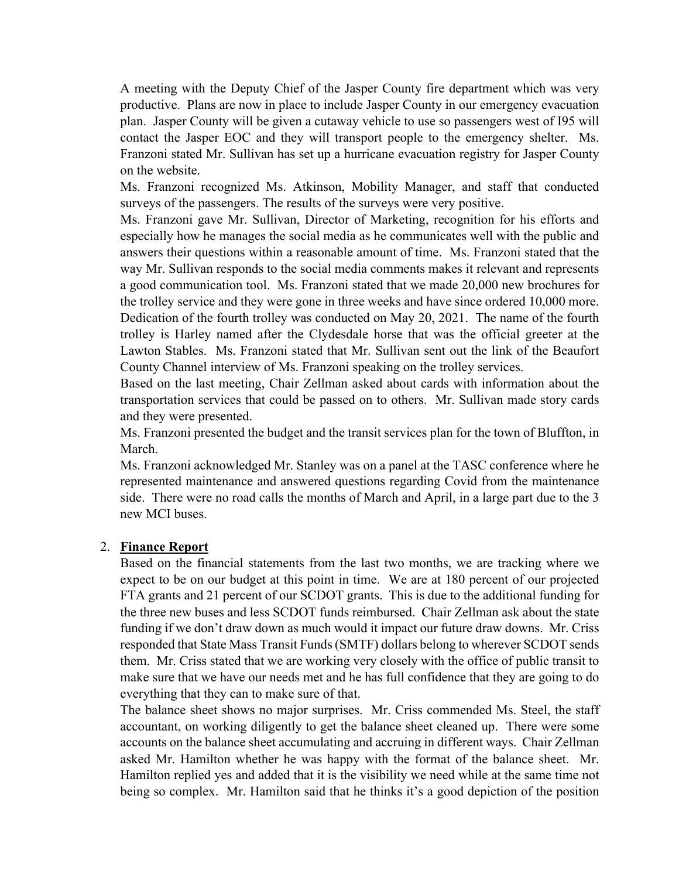A meeting with the Deputy Chief of the Jasper County fire department which was very productive. Plans are now in place to include Jasper County in our emergency evacuation plan. Jasper County will be given a cutaway vehicle to use so passengers west of I95 will contact the Jasper EOC and they will transport people to the emergency shelter. Ms. Franzoni stated Mr. Sullivan has set up a hurricane evacuation registry for Jasper County on the website.

Ms. Franzoni recognized Ms. Atkinson, Mobility Manager, and staff that conducted surveys of the passengers. The results of the surveys were very positive.

Ms. Franzoni gave Mr. Sullivan, Director of Marketing, recognition for his efforts and especially how he manages the social media as he communicates well with the public and answers their questions within a reasonable amount of time. Ms. Franzoni stated that the way Mr. Sullivan responds to the social media comments makes it relevant and represents a good communication tool. Ms. Franzoni stated that we made 20,000 new brochures for the trolley service and they were gone in three weeks and have since ordered 10,000 more. Dedication of the fourth trolley was conducted on May 20, 2021. The name of the fourth trolley is Harley named after the Clydesdale horse that was the official greeter at the Lawton Stables. Ms. Franzoni stated that Mr. Sullivan sent out the link of the Beaufort County Channel interview of Ms. Franzoni speaking on the trolley services.

Based on the last meeting, Chair Zellman asked about cards with information about the transportation services that could be passed on to others. Mr. Sullivan made story cards and they were presented.

Ms. Franzoni presented the budget and the transit services plan for the town of Bluffton, in March.

Ms. Franzoni acknowledged Mr. Stanley was on a panel at the TASC conference where he represented maintenance and answered questions regarding Covid from the maintenance side. There were no road calls the months of March and April, in a large part due to the 3 new MCI buses.

#### 2. **Finance Report**

Based on the financial statements from the last two months, we are tracking where we expect to be on our budget at this point in time. We are at 180 percent of our projected FTA grants and 21 percent of our SCDOT grants. This is due to the additional funding for the three new buses and less SCDOT funds reimbursed. Chair Zellman ask about the state funding if we don't draw down as much would it impact our future draw downs. Mr. Criss responded that State Mass Transit Funds (SMTF) dollars belong to wherever SCDOT sends them. Mr. Criss stated that we are working very closely with the office of public transit to make sure that we have our needs met and he has full confidence that they are going to do everything that they can to make sure of that.

The balance sheet shows no major surprises. Mr. Criss commended Ms. Steel, the staff accountant, on working diligently to get the balance sheet cleaned up. There were some accounts on the balance sheet accumulating and accruing in different ways. Chair Zellman asked Mr. Hamilton whether he was happy with the format of the balance sheet. Mr. Hamilton replied yes and added that it is the visibility we need while at the same time not being so complex. Mr. Hamilton said that he thinks it's a good depiction of the position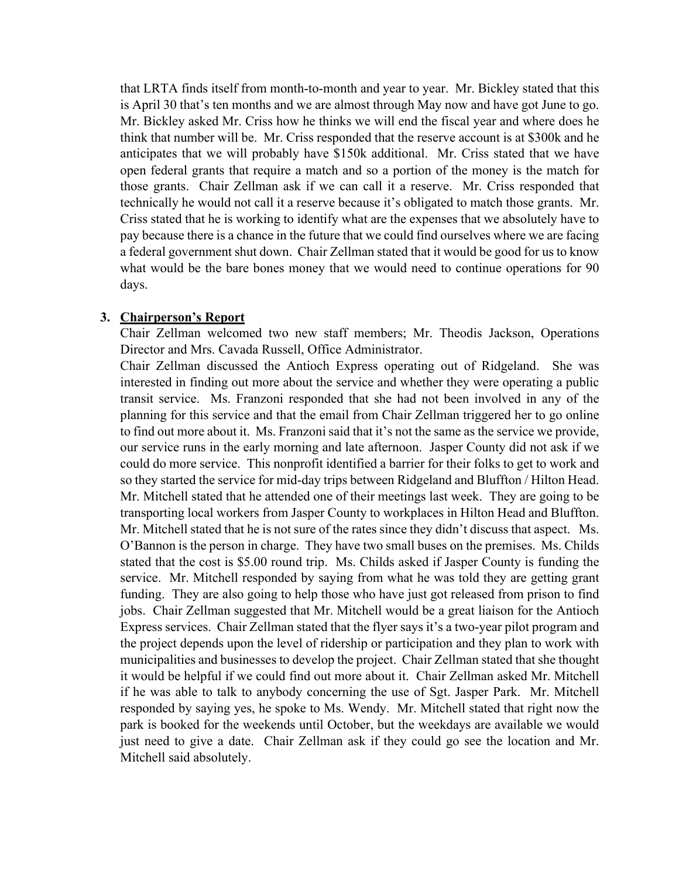that LRTA finds itself from month-to-month and year to year. Mr. Bickley stated that this is April 30 that's ten months and we are almost through May now and have got June to go. Mr. Bickley asked Mr. Criss how he thinks we will end the fiscal year and where does he think that number will be. Mr. Criss responded that the reserve account is at \$300k and he anticipates that we will probably have \$150k additional. Mr. Criss stated that we have open federal grants that require a match and so a portion of the money is the match for those grants. Chair Zellman ask if we can call it a reserve. Mr. Criss responded that technically he would not call it a reserve because it's obligated to match those grants. Mr. Criss stated that he is working to identify what are the expenses that we absolutely have to pay because there is a chance in the future that we could find ourselves where we are facing a federal government shut down. Chair Zellman stated that it would be good for us to know what would be the bare bones money that we would need to continue operations for 90 days.

#### **3. Chairperson's Report**

Chair Zellman welcomed two new staff members; Mr. Theodis Jackson, Operations Director and Mrs. Cavada Russell, Office Administrator.

Chair Zellman discussed the Antioch Express operating out of Ridgeland. She was interested in finding out more about the service and whether they were operating a public transit service. Ms. Franzoni responded that she had not been involved in any of the planning for this service and that the email from Chair Zellman triggered her to go online to find out more about it. Ms. Franzoni said that it's not the same as the service we provide, our service runs in the early morning and late afternoon. Jasper County did not ask if we could do more service. This nonprofit identified a barrier for their folks to get to work and so they started the service for mid-day trips between Ridgeland and Bluffton / Hilton Head. Mr. Mitchell stated that he attended one of their meetings last week. They are going to be transporting local workers from Jasper County to workplaces in Hilton Head and Bluffton. Mr. Mitchell stated that he is not sure of the rates since they didn't discuss that aspect. Ms. O'Bannon is the person in charge. They have two small buses on the premises. Ms. Childs stated that the cost is \$5.00 round trip. Ms. Childs asked if Jasper County is funding the service. Mr. Mitchell responded by saying from what he was told they are getting grant funding. They are also going to help those who have just got released from prison to find jobs. Chair Zellman suggested that Mr. Mitchell would be a great liaison for the Antioch Express services. Chair Zellman stated that the flyer says it's a two-year pilot program and the project depends upon the level of ridership or participation and they plan to work with municipalities and businesses to develop the project. Chair Zellman stated that she thought it would be helpful if we could find out more about it. Chair Zellman asked Mr. Mitchell if he was able to talk to anybody concerning the use of Sgt. Jasper Park. Mr. Mitchell responded by saying yes, he spoke to Ms. Wendy. Mr. Mitchell stated that right now the park is booked for the weekends until October, but the weekdays are available we would just need to give a date. Chair Zellman ask if they could go see the location and Mr. Mitchell said absolutely.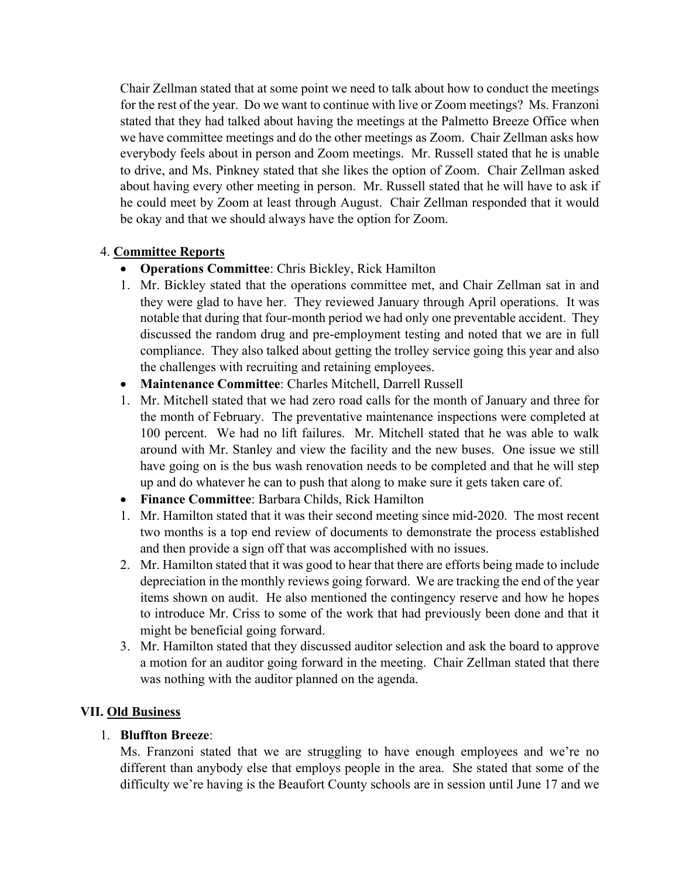Chair Zellman stated that at some point we need to talk about how to conduct the meetings for the rest of the year. Do we want to continue with live or Zoom meetings? Ms. Franzoni stated that they had talked about having the meetings at the Palmetto Breeze Office when we have committee meetings and do the other meetings as Zoom. Chair Zellman asks how everybody feels about in person and Zoom meetings. Mr. Russell stated that he is unable to drive, and Ms. Pinkney stated that she likes the option of Zoom. Chair Zellman asked about having every other meeting in person. Mr. Russell stated that he will have to ask if he could meet by Zoom at least through August. Chair Zellman responded that it would be okay and that we should always have the option for Zoom.

## 4. **Committee Reports**

- **Operations Committee**: Chris Bickley, Rick Hamilton
- 1. Mr. Bickley stated that the operations committee met, and Chair Zellman sat in and they were glad to have her. They reviewed January through April operations. It was notable that during that four-month period we had only one preventable accident. They discussed the random drug and pre-employment testing and noted that we are in full compliance. They also talked about getting the trolley service going this year and also the challenges with recruiting and retaining employees.
- **Maintenance Committee**: Charles Mitchell, Darrell Russell
- 1. Mr. Mitchell stated that we had zero road calls for the month of January and three for the month of February. The preventative maintenance inspections were completed at 100 percent. We had no lift failures. Mr. Mitchell stated that he was able to walk around with Mr. Stanley and view the facility and the new buses. One issue we still have going on is the bus wash renovation needs to be completed and that he will step up and do whatever he can to push that along to make sure it gets taken care of.
- **Finance Committee**: Barbara Childs, Rick Hamilton
- 1. Mr. Hamilton stated that it was their second meeting since mid-2020. The most recent two months is a top end review of documents to demonstrate the process established and then provide a sign off that was accomplished with no issues.
- 2. Mr. Hamilton stated that it was good to hear that there are efforts being made to include depreciation in the monthly reviews going forward. We are tracking the end of the year items shown on audit. He also mentioned the contingency reserve and how he hopes to introduce Mr. Criss to some of the work that had previously been done and that it might be beneficial going forward.
- 3. Mr. Hamilton stated that they discussed auditor selection and ask the board to approve a motion for an auditor going forward in the meeting. Chair Zellman stated that there was nothing with the auditor planned on the agenda.

## **VII. Old Business**

## 1. **Bluffton Breeze**:

Ms. Franzoni stated that we are struggling to have enough employees and we're no different than anybody else that employs people in the area. She stated that some of the difficulty we're having is the Beaufort County schools are in session until June 17 and we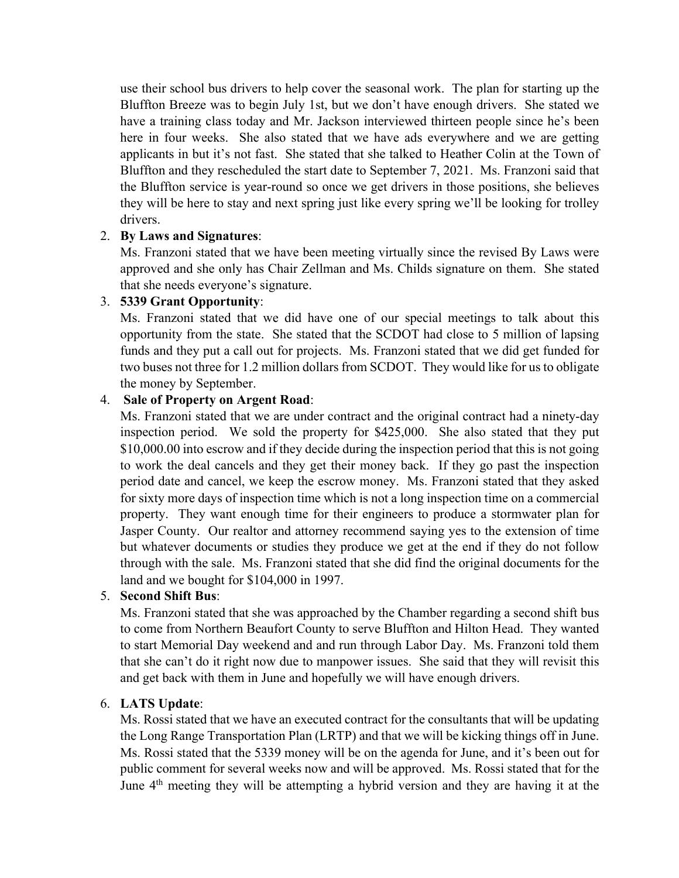use their school bus drivers to help cover the seasonal work. The plan for starting up the Bluffton Breeze was to begin July 1st, but we don't have enough drivers. She stated we have a training class today and Mr. Jackson interviewed thirteen people since he's been here in four weeks. She also stated that we have ads everywhere and we are getting applicants in but it's not fast. She stated that she talked to Heather Colin at the Town of Bluffton and they rescheduled the start date to September 7, 2021. Ms. Franzoni said that the Bluffton service is year-round so once we get drivers in those positions, she believes they will be here to stay and next spring just like every spring we'll be looking for trolley drivers.

### 2. **By Laws and Signatures**:

Ms. Franzoni stated that we have been meeting virtually since the revised By Laws were approved and she only has Chair Zellman and Ms. Childs signature on them. She stated that she needs everyone's signature.

### 3. **5339 Grant Opportunity**:

Ms. Franzoni stated that we did have one of our special meetings to talk about this opportunity from the state. She stated that the SCDOT had close to 5 million of lapsing funds and they put a call out for projects. Ms. Franzoni stated that we did get funded for two buses not three for 1.2 million dollars from SCDOT. They would like for us to obligate the money by September.

### 4. **Sale of Property on Argent Road**:

Ms. Franzoni stated that we are under contract and the original contract had a ninety-day inspection period. We sold the property for \$425,000. She also stated that they put \$10,000.00 into escrow and if they decide during the inspection period that this is not going to work the deal cancels and they get their money back. If they go past the inspection period date and cancel, we keep the escrow money. Ms. Franzoni stated that they asked for sixty more days of inspection time which is not a long inspection time on a commercial property. They want enough time for their engineers to produce a stormwater plan for Jasper County. Our realtor and attorney recommend saying yes to the extension of time but whatever documents or studies they produce we get at the end if they do not follow through with the sale. Ms. Franzoni stated that she did find the original documents for the land and we bought for \$104,000 in 1997.

## 5. **Second Shift Bus**:

Ms. Franzoni stated that she was approached by the Chamber regarding a second shift bus to come from Northern Beaufort County to serve Bluffton and Hilton Head. They wanted to start Memorial Day weekend and and run through Labor Day. Ms. Franzoni told them that she can't do it right now due to manpower issues. She said that they will revisit this and get back with them in June and hopefully we will have enough drivers.

## 6. **LATS Update**:

Ms. Rossi stated that we have an executed contract for the consultants that will be updating the Long Range Transportation Plan (LRTP) and that we will be kicking things off in June. Ms. Rossi stated that the 5339 money will be on the agenda for June, and it's been out for public comment for several weeks now and will be approved. Ms. Rossi stated that for the June 4<sup>th</sup> meeting they will be attempting a hybrid version and they are having it at the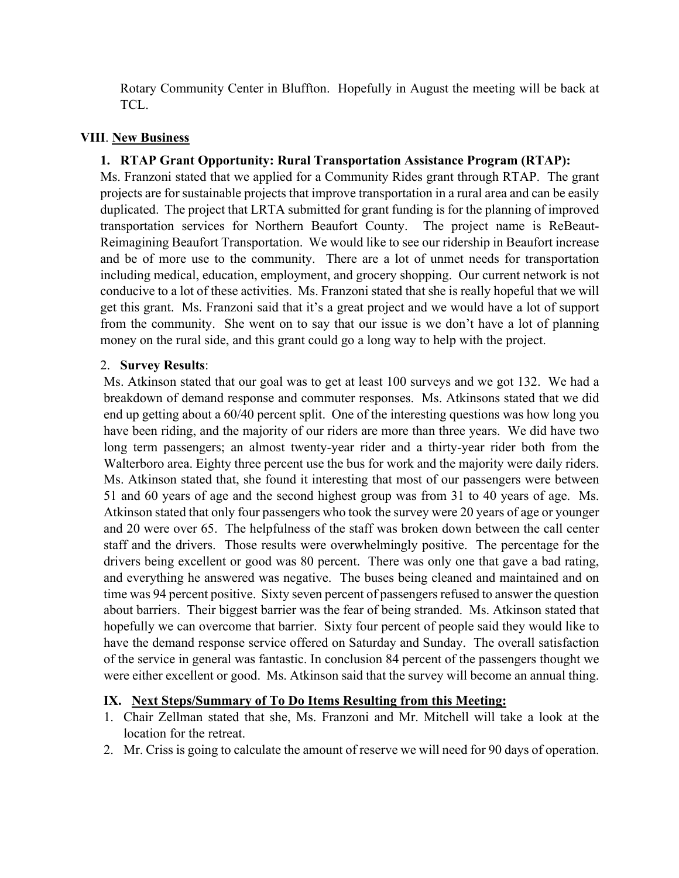Rotary Community Center in Bluffton. Hopefully in August the meeting will be back at TCL.

## **VIII**. **New Business**

## **1. RTAP Grant Opportunity: Rural Transportation Assistance Program (RTAP):**

Ms. Franzoni stated that we applied for a Community Rides grant through RTAP. The grant projects are for sustainable projects that improve transportation in a rural area and can be easily duplicated. The project that LRTA submitted for grant funding is for the planning of improved transportation services for Northern Beaufort County. The project name is ReBeaut-Reimagining Beaufort Transportation. We would like to see our ridership in Beaufort increase and be of more use to the community. There are a lot of unmet needs for transportation including medical, education, employment, and grocery shopping. Our current network is not conducive to a lot of these activities. Ms. Franzoni stated that she is really hopeful that we will get this grant. Ms. Franzoni said that it's a great project and we would have a lot of support from the community. She went on to say that our issue is we don't have a lot of planning money on the rural side, and this grant could go a long way to help with the project.

## 2. **Survey Results**:

Ms. Atkinson stated that our goal was to get at least 100 surveys and we got 132. We had a breakdown of demand response and commuter responses. Ms. Atkinsons stated that we did end up getting about a 60/40 percent split. One of the interesting questions was how long you have been riding, and the majority of our riders are more than three years. We did have two long term passengers; an almost twenty-year rider and a thirty-year rider both from the Walterboro area. Eighty three percent use the bus for work and the majority were daily riders. Ms. Atkinson stated that, she found it interesting that most of our passengers were between 51 and 60 years of age and the second highest group was from 31 to 40 years of age. Ms. Atkinson stated that only four passengers who took the survey were 20 years of age or younger and 20 were over 65. The helpfulness of the staff was broken down between the call center staff and the drivers. Those results were overwhelmingly positive. The percentage for the drivers being excellent or good was 80 percent. There was only one that gave a bad rating, and everything he answered was negative. The buses being cleaned and maintained and on time was 94 percent positive. Sixty seven percent of passengers refused to answer the question about barriers. Their biggest barrier was the fear of being stranded. Ms. Atkinson stated that hopefully we can overcome that barrier. Sixty four percent of people said they would like to have the demand response service offered on Saturday and Sunday. The overall satisfaction of the service in general was fantastic. In conclusion 84 percent of the passengers thought we were either excellent or good. Ms. Atkinson said that the survey will become an annual thing.

## **IX. Next Steps/Summary of To Do Items Resulting from this Meeting:**

- 1. Chair Zellman stated that she, Ms. Franzoni and Mr. Mitchell will take a look at the location for the retreat.
- 2. Mr. Criss is going to calculate the amount of reserve we will need for 90 days of operation.